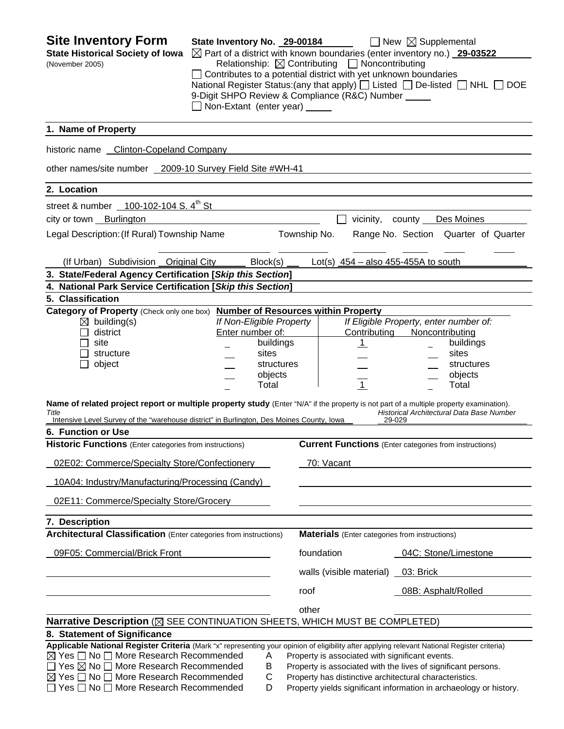| <b>Site Inventory Form</b><br><b>State Historical Society of Iowa</b><br>(November 2005)                                                                                                                                                                                                                                                                                | State Inventory No. 29-00184<br>Non-Extant (enter year) _____ |                                                                                  | Relationship: $\boxtimes$ Contributing $\Box$ Noncontributing<br>$\Box$ Contributes to a potential district with yet unknown boundaries<br>9-Digit SHPO Review & Compliance (R&C) Number _____ | $\Box$ New $\boxtimes$ Supplemental<br>$\boxtimes$ Part of a district with known boundaries (enter inventory no.) 29-03522<br>National Register Status: (any that apply) [ Listed [ ] De-listed [ ] NHL [<br><b>DOE</b> |
|-------------------------------------------------------------------------------------------------------------------------------------------------------------------------------------------------------------------------------------------------------------------------------------------------------------------------------------------------------------------------|---------------------------------------------------------------|----------------------------------------------------------------------------------|------------------------------------------------------------------------------------------------------------------------------------------------------------------------------------------------|-------------------------------------------------------------------------------------------------------------------------------------------------------------------------------------------------------------------------|
| 1. Name of Property                                                                                                                                                                                                                                                                                                                                                     |                                                               |                                                                                  |                                                                                                                                                                                                |                                                                                                                                                                                                                         |
| historic name Clinton-Copeland Company                                                                                                                                                                                                                                                                                                                                  |                                                               |                                                                                  |                                                                                                                                                                                                |                                                                                                                                                                                                                         |
| other names/site number 2009-10 Survey Field Site #WH-41                                                                                                                                                                                                                                                                                                                |                                                               |                                                                                  |                                                                                                                                                                                                |                                                                                                                                                                                                                         |
| 2. Location                                                                                                                                                                                                                                                                                                                                                             |                                                               |                                                                                  |                                                                                                                                                                                                |                                                                                                                                                                                                                         |
| street & number 100-102-104 S. 4 <sup>th</sup> St                                                                                                                                                                                                                                                                                                                       |                                                               |                                                                                  |                                                                                                                                                                                                |                                                                                                                                                                                                                         |
| city or town Burlington                                                                                                                                                                                                                                                                                                                                                 |                                                               |                                                                                  | vicinity, county                                                                                                                                                                               | Des Moines                                                                                                                                                                                                              |
| Legal Description: (If Rural) Township Name                                                                                                                                                                                                                                                                                                                             |                                                               |                                                                                  | Township No.                                                                                                                                                                                   | Range No. Section Quarter of Quarter                                                                                                                                                                                    |
| (If Urban) Subdivision Original City                                                                                                                                                                                                                                                                                                                                    |                                                               | Block(s)                                                                         | Lot(s) $454 - also$ 455-455A to south                                                                                                                                                          |                                                                                                                                                                                                                         |
| 3. State/Federal Agency Certification [Skip this Section]                                                                                                                                                                                                                                                                                                               |                                                               |                                                                                  |                                                                                                                                                                                                |                                                                                                                                                                                                                         |
| 4. National Park Service Certification [Skip this Section]                                                                                                                                                                                                                                                                                                              |                                                               |                                                                                  |                                                                                                                                                                                                |                                                                                                                                                                                                                         |
| 5. Classification<br>Category of Property (Check only one box) Number of Resources within Property                                                                                                                                                                                                                                                                      |                                                               |                                                                                  |                                                                                                                                                                                                |                                                                                                                                                                                                                         |
| $\boxtimes$ building(s)<br>district<br>site<br>structure<br>object                                                                                                                                                                                                                                                                                                      | Enter number of:                                              | If Non-Eligible Property<br>buildings<br>sites<br>structures<br>objects<br>Total | Contributing<br>$\mathbf{1}$<br>$\overline{1}$                                                                                                                                                 | If Eligible Property, enter number of:<br>Noncontributing<br>buildings<br>sites<br>structures<br>objects<br>Total                                                                                                       |
| Name of related project report or multiple property study (Enter "N/A" if the property is not part of a multiple property examination).<br>Title<br>Intensive Level Survey of the "warehouse district" in Burlington, Des Moines County, Iowa                                                                                                                           |                                                               |                                                                                  |                                                                                                                                                                                                | Historical Architectural Data Base Number<br>29-029                                                                                                                                                                     |
| 6. Function or Use                                                                                                                                                                                                                                                                                                                                                      |                                                               |                                                                                  |                                                                                                                                                                                                |                                                                                                                                                                                                                         |
| Historic Functions (Enter categories from instructions)                                                                                                                                                                                                                                                                                                                 |                                                               |                                                                                  |                                                                                                                                                                                                | <b>Current Functions</b> (Enter categories from instructions)                                                                                                                                                           |
| 02E02: Commerce/Specialty Store/Confectionery                                                                                                                                                                                                                                                                                                                           |                                                               |                                                                                  | 70: Vacant                                                                                                                                                                                     |                                                                                                                                                                                                                         |
| 10A04: Industry/Manufacturing/Processing (Candy)                                                                                                                                                                                                                                                                                                                        |                                                               |                                                                                  |                                                                                                                                                                                                |                                                                                                                                                                                                                         |
| 02E11: Commerce/Specialty Store/Grocery                                                                                                                                                                                                                                                                                                                                 |                                                               |                                                                                  |                                                                                                                                                                                                |                                                                                                                                                                                                                         |
| 7. Description                                                                                                                                                                                                                                                                                                                                                          |                                                               |                                                                                  |                                                                                                                                                                                                |                                                                                                                                                                                                                         |
| <b>Architectural Classification</b> (Enter categories from instructions)                                                                                                                                                                                                                                                                                                |                                                               |                                                                                  | <b>Materials</b> (Enter categories from instructions)                                                                                                                                          |                                                                                                                                                                                                                         |
| 09F05: Commercial/Brick Front                                                                                                                                                                                                                                                                                                                                           |                                                               |                                                                                  | foundation                                                                                                                                                                                     | 04C: Stone/Limestone                                                                                                                                                                                                    |
|                                                                                                                                                                                                                                                                                                                                                                         |                                                               |                                                                                  | walls (visible material)                                                                                                                                                                       | 03: Brick                                                                                                                                                                                                               |
|                                                                                                                                                                                                                                                                                                                                                                         |                                                               |                                                                                  | roof                                                                                                                                                                                           | 08B: Asphalt/Rolled                                                                                                                                                                                                     |
|                                                                                                                                                                                                                                                                                                                                                                         |                                                               |                                                                                  | other                                                                                                                                                                                          |                                                                                                                                                                                                                         |
| Narrative Description (⊠ SEE CONTINUATION SHEETS, WHICH MUST BE COMPLETED)                                                                                                                                                                                                                                                                                              |                                                               |                                                                                  |                                                                                                                                                                                                |                                                                                                                                                                                                                         |
| 8. Statement of Significance                                                                                                                                                                                                                                                                                                                                            |                                                               |                                                                                  |                                                                                                                                                                                                |                                                                                                                                                                                                                         |
| Applicable National Register Criteria (Mark "x" representing your opinion of eligibility after applying relevant National Register criteria)<br>$\boxtimes$ Yes $\Box$ No $\Box$ More Research Recommended<br>Yes $\boxtimes$ No $\Box$ More Research Recommended<br>$\boxtimes$ Yes $\Box$ No $\Box$ More Research Recommended<br>Yes □ No □ More Research Recommended |                                                               | Α<br>Β<br>С<br>D                                                                 | Property is associated with significant events.<br>Property has distinctive architectural characteristics.                                                                                     | Property is associated with the lives of significant persons.<br>Property yields significant information in archaeology or history.                                                                                     |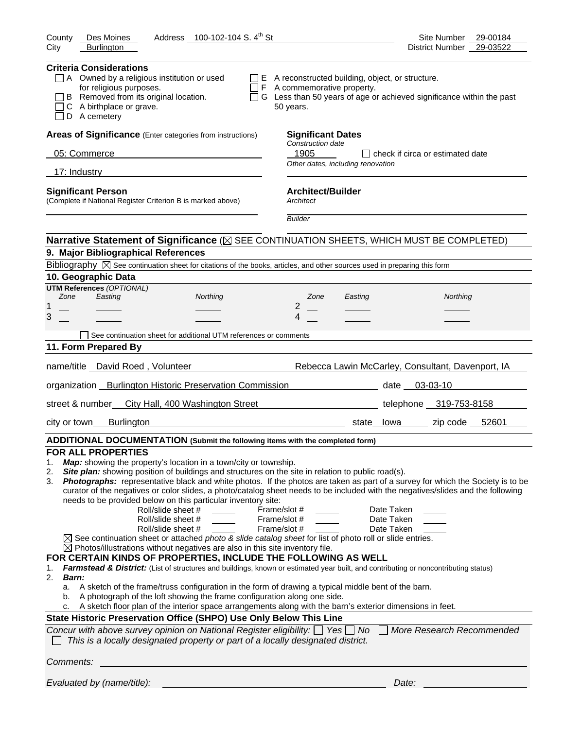| Address 100-102-104 S. 4 <sup>th</sup> St<br>County<br>Des Moines                                                                                                                                                                                                                                                                                                                                                                                                                                                                                                                                                                                                                                                                                                                                                                                                                                                                                                                                                                                                                                                                                                                                                                                                                                                                                                                                                                                                                                                                                                                                                                                                                                                                         | Site Number<br>29-00184                           |
|-------------------------------------------------------------------------------------------------------------------------------------------------------------------------------------------------------------------------------------------------------------------------------------------------------------------------------------------------------------------------------------------------------------------------------------------------------------------------------------------------------------------------------------------------------------------------------------------------------------------------------------------------------------------------------------------------------------------------------------------------------------------------------------------------------------------------------------------------------------------------------------------------------------------------------------------------------------------------------------------------------------------------------------------------------------------------------------------------------------------------------------------------------------------------------------------------------------------------------------------------------------------------------------------------------------------------------------------------------------------------------------------------------------------------------------------------------------------------------------------------------------------------------------------------------------------------------------------------------------------------------------------------------------------------------------------------------------------------------------------|---------------------------------------------------|
| City<br><b>Burlington</b>                                                                                                                                                                                                                                                                                                                                                                                                                                                                                                                                                                                                                                                                                                                                                                                                                                                                                                                                                                                                                                                                                                                                                                                                                                                                                                                                                                                                                                                                                                                                                                                                                                                                                                                 | 29-03522<br>District Number                       |
| <b>Criteria Considerations</b><br>$\Box$ A Owned by a religious institution or used<br>$\Box$ E A reconstructed building, object, or structure.<br>for religious purposes.<br>$\Box$ F A commemorative property.<br>B Removed from its original location.<br>$\Box$ G Less than 50 years of age or achieved significance within the past<br>C A birthplace or grave.<br>50 years.<br>D A cemetery                                                                                                                                                                                                                                                                                                                                                                                                                                                                                                                                                                                                                                                                                                                                                                                                                                                                                                                                                                                                                                                                                                                                                                                                                                                                                                                                         |                                                   |
| Areas of Significance (Enter categories from instructions)<br><b>Significant Dates</b>                                                                                                                                                                                                                                                                                                                                                                                                                                                                                                                                                                                                                                                                                                                                                                                                                                                                                                                                                                                                                                                                                                                                                                                                                                                                                                                                                                                                                                                                                                                                                                                                                                                    |                                                   |
| Construction date                                                                                                                                                                                                                                                                                                                                                                                                                                                                                                                                                                                                                                                                                                                                                                                                                                                                                                                                                                                                                                                                                                                                                                                                                                                                                                                                                                                                                                                                                                                                                                                                                                                                                                                         |                                                   |
| 05: Commerce<br>1905<br>Other dates, including renovation                                                                                                                                                                                                                                                                                                                                                                                                                                                                                                                                                                                                                                                                                                                                                                                                                                                                                                                                                                                                                                                                                                                                                                                                                                                                                                                                                                                                                                                                                                                                                                                                                                                                                 | I check if circa or estimated date                |
| 17: Industry                                                                                                                                                                                                                                                                                                                                                                                                                                                                                                                                                                                                                                                                                                                                                                                                                                                                                                                                                                                                                                                                                                                                                                                                                                                                                                                                                                                                                                                                                                                                                                                                                                                                                                                              |                                                   |
| <b>Architect/Builder</b><br><b>Significant Person</b><br>(Complete if National Register Criterion B is marked above)<br>Architect                                                                                                                                                                                                                                                                                                                                                                                                                                                                                                                                                                                                                                                                                                                                                                                                                                                                                                                                                                                                                                                                                                                                                                                                                                                                                                                                                                                                                                                                                                                                                                                                         |                                                   |
| <b>Builder</b>                                                                                                                                                                                                                                                                                                                                                                                                                                                                                                                                                                                                                                                                                                                                                                                                                                                                                                                                                                                                                                                                                                                                                                                                                                                                                                                                                                                                                                                                                                                                                                                                                                                                                                                            |                                                   |
| Narrative Statement of Significance ( $\boxtimes$ SEE CONTINUATION SHEETS, WHICH MUST BE COMPLETED)                                                                                                                                                                                                                                                                                                                                                                                                                                                                                                                                                                                                                                                                                                                                                                                                                                                                                                                                                                                                                                                                                                                                                                                                                                                                                                                                                                                                                                                                                                                                                                                                                                       |                                                   |
| 9. Major Bibliographical References                                                                                                                                                                                                                                                                                                                                                                                                                                                                                                                                                                                                                                                                                                                                                                                                                                                                                                                                                                                                                                                                                                                                                                                                                                                                                                                                                                                                                                                                                                                                                                                                                                                                                                       |                                                   |
| Bibliography $\boxtimes$ See continuation sheet for citations of the books, articles, and other sources used in preparing this form                                                                                                                                                                                                                                                                                                                                                                                                                                                                                                                                                                                                                                                                                                                                                                                                                                                                                                                                                                                                                                                                                                                                                                                                                                                                                                                                                                                                                                                                                                                                                                                                       |                                                   |
| 10. Geographic Data                                                                                                                                                                                                                                                                                                                                                                                                                                                                                                                                                                                                                                                                                                                                                                                                                                                                                                                                                                                                                                                                                                                                                                                                                                                                                                                                                                                                                                                                                                                                                                                                                                                                                                                       |                                                   |
| <b>UTM References (OPTIONAL)</b><br>Zone<br>Easting<br>Northing<br>Zone<br>Easting                                                                                                                                                                                                                                                                                                                                                                                                                                                                                                                                                                                                                                                                                                                                                                                                                                                                                                                                                                                                                                                                                                                                                                                                                                                                                                                                                                                                                                                                                                                                                                                                                                                        | Northing                                          |
| 2<br>1                                                                                                                                                                                                                                                                                                                                                                                                                                                                                                                                                                                                                                                                                                                                                                                                                                                                                                                                                                                                                                                                                                                                                                                                                                                                                                                                                                                                                                                                                                                                                                                                                                                                                                                                    |                                                   |
| 3<br>4                                                                                                                                                                                                                                                                                                                                                                                                                                                                                                                                                                                                                                                                                                                                                                                                                                                                                                                                                                                                                                                                                                                                                                                                                                                                                                                                                                                                                                                                                                                                                                                                                                                                                                                                    |                                                   |
| See continuation sheet for additional UTM references or comments                                                                                                                                                                                                                                                                                                                                                                                                                                                                                                                                                                                                                                                                                                                                                                                                                                                                                                                                                                                                                                                                                                                                                                                                                                                                                                                                                                                                                                                                                                                                                                                                                                                                          |                                                   |
| 11. Form Prepared By                                                                                                                                                                                                                                                                                                                                                                                                                                                                                                                                                                                                                                                                                                                                                                                                                                                                                                                                                                                                                                                                                                                                                                                                                                                                                                                                                                                                                                                                                                                                                                                                                                                                                                                      |                                                   |
|                                                                                                                                                                                                                                                                                                                                                                                                                                                                                                                                                                                                                                                                                                                                                                                                                                                                                                                                                                                                                                                                                                                                                                                                                                                                                                                                                                                                                                                                                                                                                                                                                                                                                                                                           |                                                   |
| name/title David Roed, Volunteer                                                                                                                                                                                                                                                                                                                                                                                                                                                                                                                                                                                                                                                                                                                                                                                                                                                                                                                                                                                                                                                                                                                                                                                                                                                                                                                                                                                                                                                                                                                                                                                                                                                                                                          | Rebecca Lawin McCarley, Consultant, Davenport, IA |
| organization Burlington Historic Preservation Commission<br><u>and the second second second second</u> second second second second second second second second second second seco                                                                                                                                                                                                                                                                                                                                                                                                                                                                                                                                                                                                                                                                                                                                                                                                                                                                                                                                                                                                                                                                                                                                                                                                                                                                                                                                                                                                                                                                                                                                                         | $03 - 03 - 10$                                    |
| street & number City Hall, 400 Washington Street                                                                                                                                                                                                                                                                                                                                                                                                                                                                                                                                                                                                                                                                                                                                                                                                                                                                                                                                                                                                                                                                                                                                                                                                                                                                                                                                                                                                                                                                                                                                                                                                                                                                                          | telephone 319-753-8158                            |
| <b>Burlington</b><br>city or town<br>state lowa                                                                                                                                                                                                                                                                                                                                                                                                                                                                                                                                                                                                                                                                                                                                                                                                                                                                                                                                                                                                                                                                                                                                                                                                                                                                                                                                                                                                                                                                                                                                                                                                                                                                                           | zip code 52601                                    |
| ADDITIONAL DOCUMENTATION (Submit the following items with the completed form)                                                                                                                                                                                                                                                                                                                                                                                                                                                                                                                                                                                                                                                                                                                                                                                                                                                                                                                                                                                                                                                                                                                                                                                                                                                                                                                                                                                                                                                                                                                                                                                                                                                             |                                                   |
| <b>FOR ALL PROPERTIES</b><br>Map: showing the property's location in a town/city or township.<br>1.<br>Site plan: showing position of buildings and structures on the site in relation to public road(s).<br>2.<br>Photographs: representative black and white photos. If the photos are taken as part of a survey for which the Society is to be<br>3.<br>curator of the negatives or color slides, a photo/catalog sheet needs to be included with the negatives/slides and the following<br>needs to be provided below on this particular inventory site:<br>Roll/slide sheet #<br>Date Taken<br>Frame/slot #<br>Roll/slide sheet #<br>Frame/slot #<br>Date Taken<br>Roll/slide sheet #<br>Frame/slot #<br>Date Taken<br>$\boxtimes$ See continuation sheet or attached photo & slide catalog sheet for list of photo roll or slide entries.<br>$\boxtimes$ Photos/illustrations without negatives are also in this site inventory file.<br>FOR CERTAIN KINDS OF PROPERTIES, INCLUDE THE FOLLOWING AS WELL<br>Farmstead & District: (List of structures and buildings, known or estimated year built, and contributing or noncontributing status)<br>1.<br>2.<br>Barn:<br>A sketch of the frame/truss configuration in the form of drawing a typical middle bent of the barn.<br>a.<br>A photograph of the loft showing the frame configuration along one side.<br>b.<br>A sketch floor plan of the interior space arrangements along with the barn's exterior dimensions in feet.<br>State Historic Preservation Office (SHPO) Use Only Below This Line<br>Concur with above survey opinion on National Register eligibility: $\Box$ Yes $\Box$ No<br>This is a locally designated property or part of a locally designated district. | More Research Recommended                         |
| Comments:                                                                                                                                                                                                                                                                                                                                                                                                                                                                                                                                                                                                                                                                                                                                                                                                                                                                                                                                                                                                                                                                                                                                                                                                                                                                                                                                                                                                                                                                                                                                                                                                                                                                                                                                 |                                                   |
| Evaluated by (name/title):                                                                                                                                                                                                                                                                                                                                                                                                                                                                                                                                                                                                                                                                                                                                                                                                                                                                                                                                                                                                                                                                                                                                                                                                                                                                                                                                                                                                                                                                                                                                                                                                                                                                                                                | Date:                                             |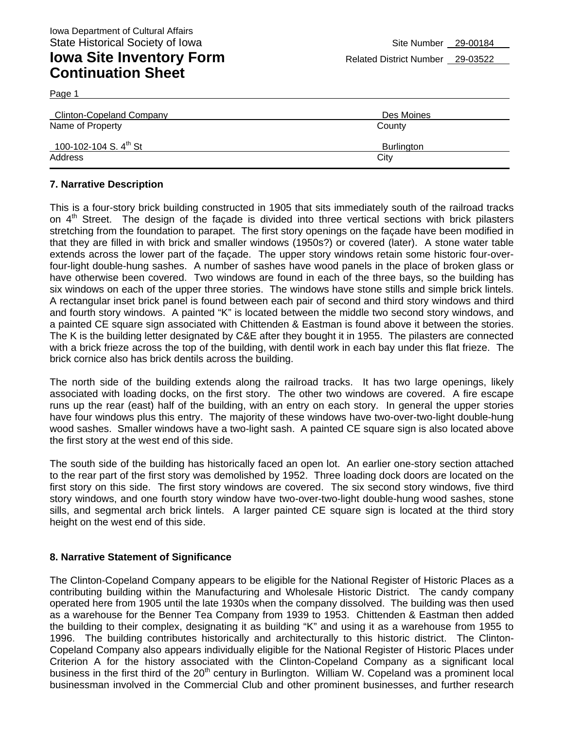| <b>Clinton-Copeland Company</b>   | Des Moines |
|-----------------------------------|------------|
| Name of Property                  | County     |
| 100-102-104 S. $4^{\text{th}}$ St | Burlington |
| Address                           | City       |

#### **7. Narrative Description**

Page 1

This is a four-story brick building constructed in 1905 that sits immediately south of the railroad tracks on  $4<sup>th</sup>$  Street. The design of the façade is divided into three vertical sections with brick pilasters stretching from the foundation to parapet. The first story openings on the façade have been modified in that they are filled in with brick and smaller windows (1950s?) or covered (later). A stone water table extends across the lower part of the façade. The upper story windows retain some historic four-overfour-light double-hung sashes. A number of sashes have wood panels in the place of broken glass or have otherwise been covered. Two windows are found in each of the three bays, so the building has six windows on each of the upper three stories. The windows have stone stills and simple brick lintels. A rectangular inset brick panel is found between each pair of second and third story windows and third and fourth story windows. A painted "K" is located between the middle two second story windows, and a painted CE square sign associated with Chittenden & Eastman is found above it between the stories. The K is the building letter designated by C&E after they bought it in 1955. The pilasters are connected with a brick frieze across the top of the building, with dentil work in each bay under this flat frieze. The brick cornice also has brick dentils across the building.

The north side of the building extends along the railroad tracks. It has two large openings, likely associated with loading docks, on the first story. The other two windows are covered. A fire escape runs up the rear (east) half of the building, with an entry on each story. In general the upper stories have four windows plus this entry. The majority of these windows have two-over-two-light double-hung wood sashes. Smaller windows have a two-light sash. A painted CE square sign is also located above the first story at the west end of this side.

The south side of the building has historically faced an open lot. An earlier one-story section attached to the rear part of the first story was demolished by 1952. Three loading dock doors are located on the first story on this side. The first story windows are covered. The six second story windows, five third story windows, and one fourth story window have two-over-two-light double-hung wood sashes, stone sills, and segmental arch brick lintels. A larger painted CE square sign is located at the third story height on the west end of this side.

#### **8. Narrative Statement of Significance**

The Clinton-Copeland Company appears to be eligible for the National Register of Historic Places as a contributing building within the Manufacturing and Wholesale Historic District. The candy company operated here from 1905 until the late 1930s when the company dissolved. The building was then used as a warehouse for the Benner Tea Company from 1939 to 1953. Chittenden & Eastman then added the building to their complex, designating it as building "K" and using it as a warehouse from 1955 to 1996. The building contributes historically and architecturally to this historic district. The Clinton-Copeland Company also appears individually eligible for the National Register of Historic Places under Criterion A for the history associated with the Clinton-Copeland Company as a significant local business in the first third of the 20<sup>th</sup> century in Burlington. William W. Copeland was a prominent local businessman involved in the Commercial Club and other prominent businesses, and further research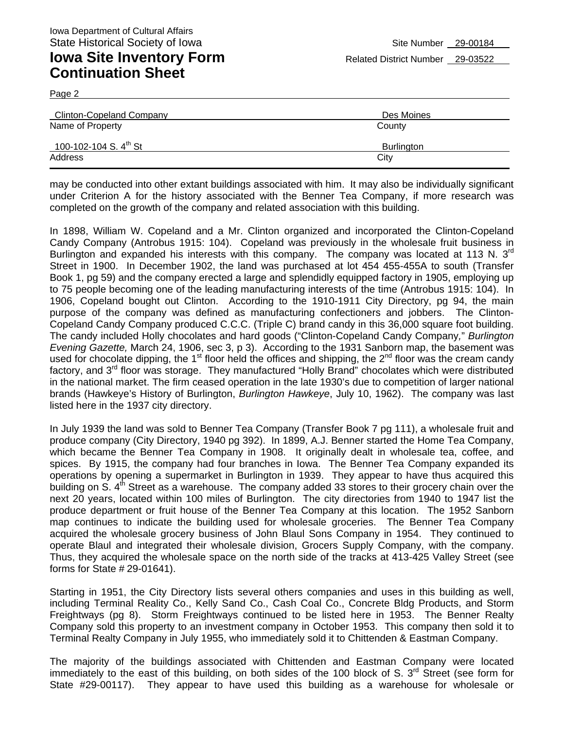Page 2

| <b>Clinton-Copeland Company</b>   | Des Moines |
|-----------------------------------|------------|
| Name of Property                  | County     |
| 100-102-104 S. $4^{\text{th}}$ St | Burlington |
| Address                           | City       |

may be conducted into other extant buildings associated with him. It may also be individually significant under Criterion A for the history associated with the Benner Tea Company, if more research was completed on the growth of the company and related association with this building.

In 1898, William W. Copeland and a Mr. Clinton organized and incorporated the Clinton-Copeland Candy Company (Antrobus 1915: 104). Copeland was previously in the wholesale fruit business in Burlington and expanded his interests with this company. The company was located at 113 N.  $3<sup>rd</sup>$ Street in 1900. In December 1902, the land was purchased at lot 454 455-455A to south (Transfer Book 1, pg 59) and the company erected a large and splendidly equipped factory in 1905, employing up to 75 people becoming one of the leading manufacturing interests of the time (Antrobus 1915: 104). In 1906, Copeland bought out Clinton. According to the 1910-1911 City Directory, pg 94, the main purpose of the company was defined as manufacturing confectioners and jobbers. The Clinton-Copeland Candy Company produced C.C.C. (Triple C) brand candy in this 36,000 square foot building. The candy included Holly chocolates and hard goods ("Clinton-Copeland Candy Company*,*" *Burlington Evening Gazette,* March 24, 1906, sec 3, p 3). According to the 1931 Sanborn map, the basement was used for chocolate dipping, the 1<sup>st</sup> floor held the offices and shipping, the 2<sup>nd</sup> floor was the cream candy factory, and 3<sup>rd</sup> floor was storage. They manufactured "Holly Brand" chocolates which were distributed in the national market. The firm ceased operation in the late 1930's due to competition of larger national brands (Hawkeye's History of Burlington, *Burlington Hawkeye*, July 10, 1962). The company was last listed here in the 1937 city directory.

In July 1939 the land was sold to Benner Tea Company (Transfer Book 7 pg 111), a wholesale fruit and produce company (City Directory, 1940 pg 392). In 1899, A.J. Benner started the Home Tea Company, which became the Benner Tea Company in 1908. It originally dealt in wholesale tea, coffee, and spices. By 1915, the company had four branches in Iowa. The Benner Tea Company expanded its operations by opening a supermarket in Burlington in 1939. They appear to have thus acquired this building on S.  $4<sup>th</sup>$  Street as a warehouse. The company added 33 stores to their grocery chain over the next 20 years, located within 100 miles of Burlington. The city directories from 1940 to 1947 list the produce department or fruit house of the Benner Tea Company at this location. The 1952 Sanborn map continues to indicate the building used for wholesale groceries. The Benner Tea Company acquired the wholesale grocery business of John Blaul Sons Company in 1954. They continued to operate Blaul and integrated their wholesale division, Grocers Supply Company, with the company. Thus, they acquired the wholesale space on the north side of the tracks at 413-425 Valley Street (see forms for State # 29-01641).

Starting in 1951, the City Directory lists several others companies and uses in this building as well, including Terminal Reality Co., Kelly Sand Co., Cash Coal Co., Concrete Bldg Products, and Storm Freightways (pg 8). Storm Freightways continued to be listed here in 1953. The Benner Realty Company sold this property to an investment company in October 1953. This company then sold it to Terminal Realty Company in July 1955, who immediately sold it to Chittenden & Eastman Company.

The majority of the buildings associated with Chittenden and Eastman Company were located immediately to the east of this building, on both sides of the 100 block of S. 3<sup>rd</sup> Street (see form for State #29-00117). They appear to have used this building as a warehouse for wholesale or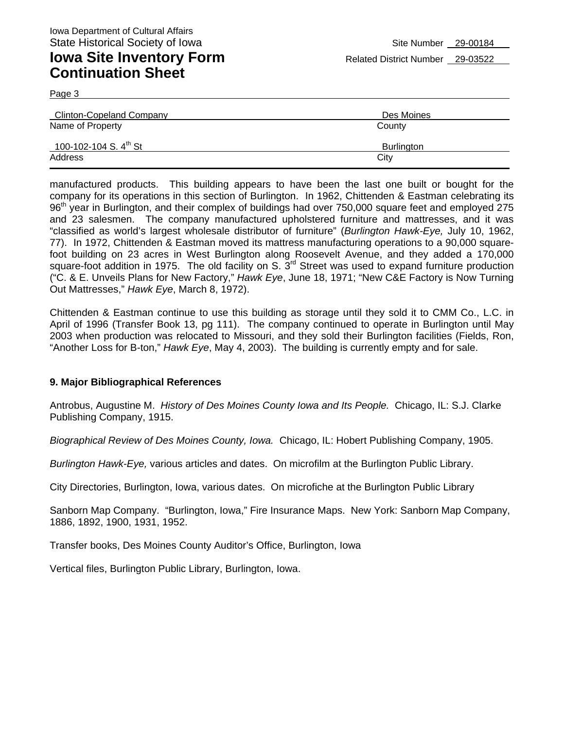Page 3

| <b>Clinton-Copeland Company</b>   | Des Moines |
|-----------------------------------|------------|
| Name of Property                  | County     |
| 100-102-104 S. $4^{\text{th}}$ St | Burlington |
| Address                           | City       |

manufactured products. This building appears to have been the last one built or bought for the company for its operations in this section of Burlington. In 1962, Chittenden & Eastman celebrating its 96<sup>th</sup> year in Burlington, and their complex of buildings had over 750,000 square feet and employed 275 and 23 salesmen. The company manufactured upholstered furniture and mattresses, and it was "classified as world's largest wholesale distributor of furniture" (*Burlington Hawk-Eye,* July 10, 1962, 77). In 1972, Chittenden & Eastman moved its mattress manufacturing operations to a 90,000 squarefoot building on 23 acres in West Burlington along Roosevelt Avenue, and they added a 170,000 square-foot addition in 1975. The old facility on S.  $3<sup>rd</sup>$  Street was used to expand furniture production ("C. & E. Unveils Plans for New Factory," *Hawk Eye*, June 18, 1971; "New C&E Factory is Now Turning Out Mattresses," *Hawk Eye*, March 8, 1972).

Chittenden & Eastman continue to use this building as storage until they sold it to CMM Co., L.C. in April of 1996 (Transfer Book 13, pg 111). The company continued to operate in Burlington until May 2003 when production was relocated to Missouri, and they sold their Burlington facilities (Fields, Ron, "Another Loss for B-ton," *Hawk Eye*, May 4, 2003). The building is currently empty and for sale.

#### **9. Major Bibliographical References**

Antrobus, Augustine M. *History of Des Moines County Iowa and Its People.* Chicago, IL: S.J. Clarke Publishing Company, 1915.

*Biographical Review of Des Moines County, Iowa.* Chicago, IL: Hobert Publishing Company, 1905.

*Burlington Hawk-Eye,* various articles and dates. On microfilm at the Burlington Public Library.

City Directories, Burlington, Iowa, various dates. On microfiche at the Burlington Public Library

Sanborn Map Company. "Burlington, Iowa," Fire Insurance Maps. New York: Sanborn Map Company, 1886, 1892, 1900, 1931, 1952.

Transfer books, Des Moines County Auditor's Office, Burlington, Iowa

Vertical files, Burlington Public Library, Burlington, Iowa.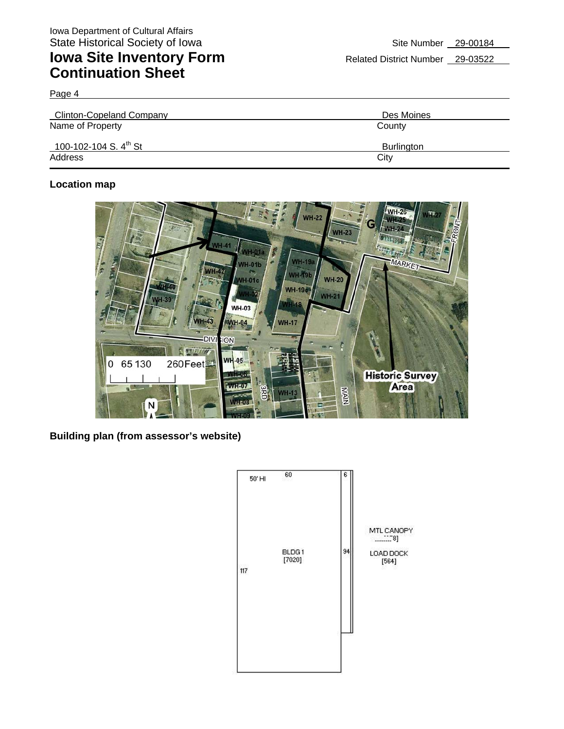Page 4

| Clinton-Copeland Company          | Des Moines |
|-----------------------------------|------------|
| Name of Property                  | County     |
| 100-102-104 S. $4^{\text{th}}$ St | Burlington |
| Address                           | City       |

#### **Location map**



**Building plan (from assessor's website)** 

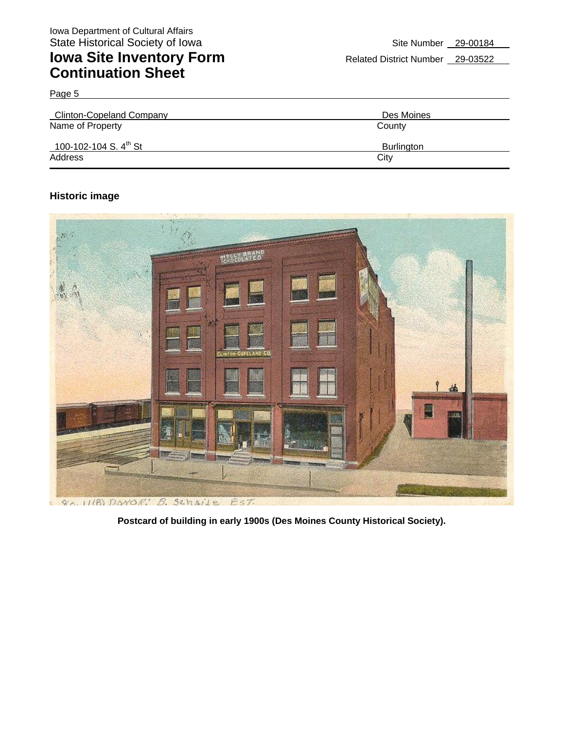| <b>Clinton-Copeland Company</b>   | Des Moines        |
|-----------------------------------|-------------------|
| Name of Property                  | County            |
| 100-102-104 S. $4^{\text{th}}$ St | <b>Burlington</b> |
| Address                           | City              |

#### **Historic image**

Page 5



**Postcard of building in early 1900s (Des Moines County Historical Society).**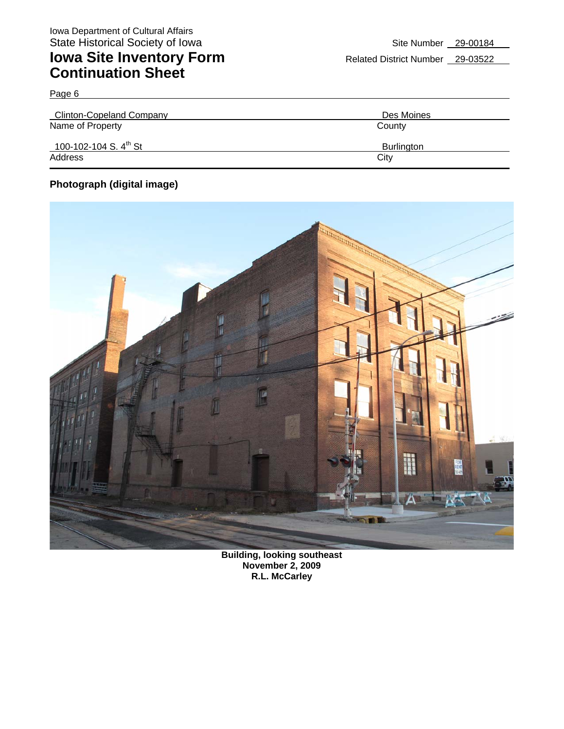| <b>Clinton-Copeland Company</b>   | Des Moines        |
|-----------------------------------|-------------------|
| Name of Property                  | County            |
| 100-102-104 S. $4^{\text{th}}$ St | <b>Burlington</b> |
| Address                           | City              |

#### **Photograph (digital image)**

Page 6



**Building, looking southeast November 2, 2009 R.L. McCarley**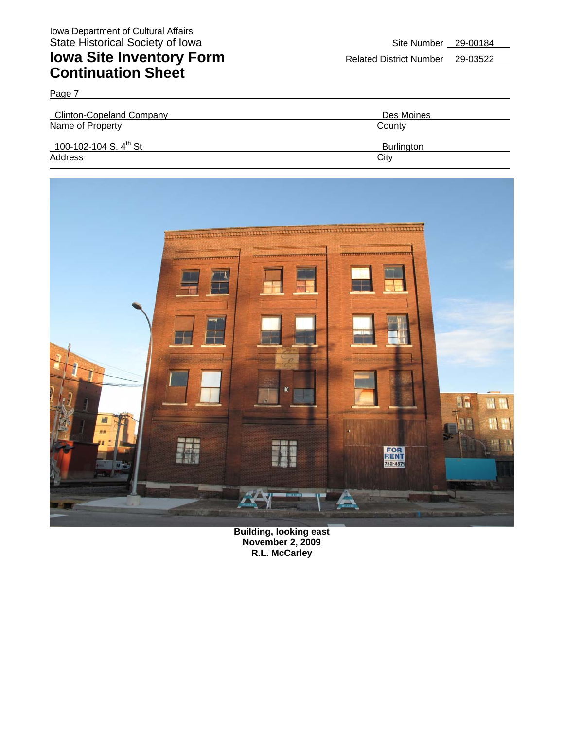| Page 7                            |                   |
|-----------------------------------|-------------------|
| <b>Clinton-Copeland Company</b>   | Des Moines        |
| Name of Property                  | County            |
| 100-102-104 S. $4^{\text{th}}$ St | <b>Burlington</b> |
| Address                           | City              |



**Building, looking east November 2, 2009 R.L. McCarley**